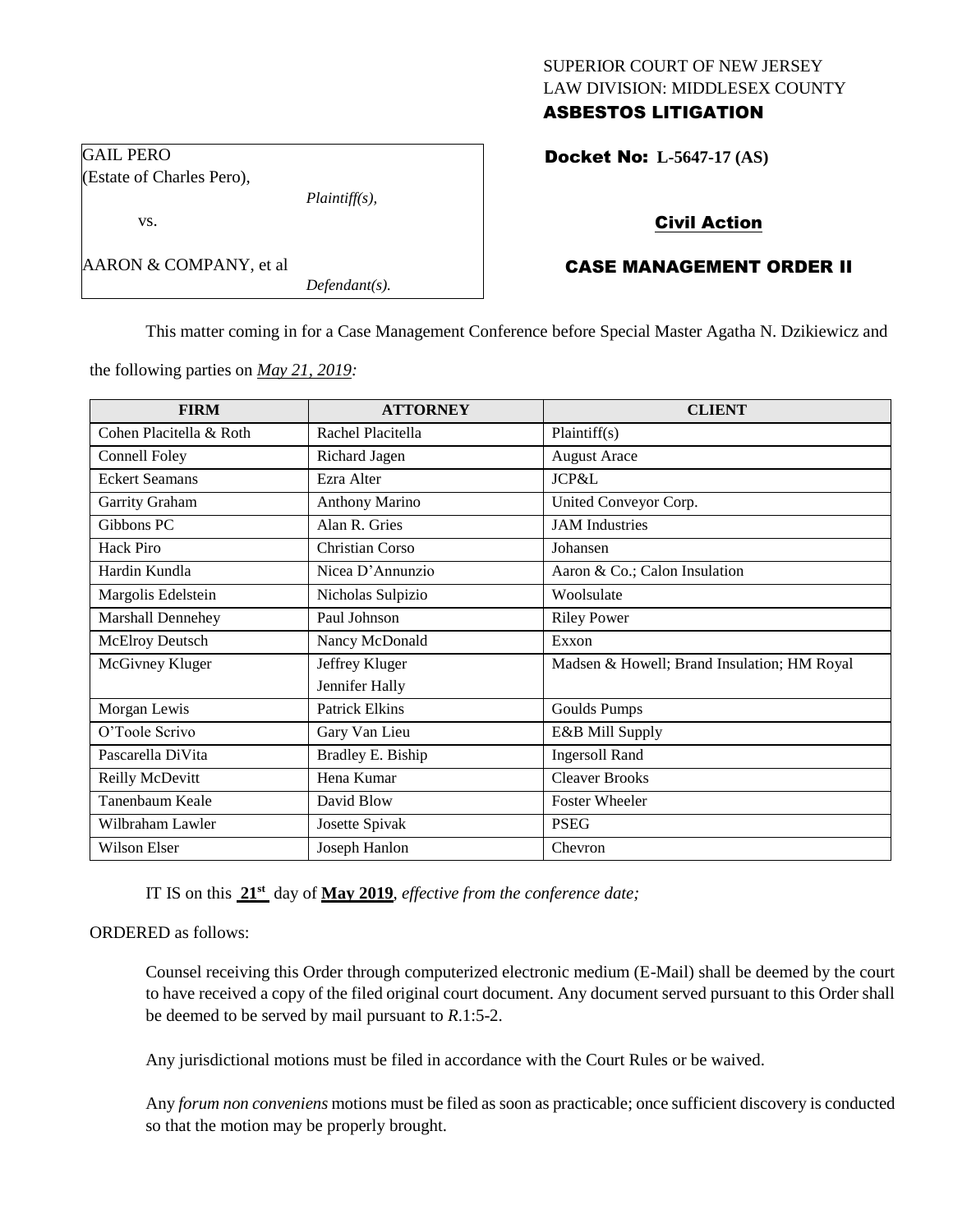## SUPERIOR COURT OF NEW JERSEY LAW DIVISION: MIDDLESEX COUNTY ASBESTOS LITIGATION

Docket No: **L-5647-17 (AS)** 

## Civil Action

# CASE MANAGEMENT ORDER II

This matter coming in for a Case Management Conference before Special Master Agatha N. Dzikiewicz and

the following parties on *May 21, 2019:*

*Plaintiff(s),*

*Defendant(s).*

GAIL PERO

(Estate of Charles Pero),

AARON & COMPANY, et al

vs.

| <b>FIRM</b>              | <b>ATTORNEY</b>       | <b>CLIENT</b>                               |
|--------------------------|-----------------------|---------------------------------------------|
| Cohen Placitella & Roth  | Rachel Placitella     | Plaintiff(s)                                |
| <b>Connell Foley</b>     | Richard Jagen         | <b>August Arace</b>                         |
| <b>Eckert Seamans</b>    | Ezra Alter            | JCP&L                                       |
| Garrity Graham           | <b>Anthony Marino</b> | United Conveyor Corp.                       |
| Gibbons PC               | Alan R. Gries         | <b>JAM</b> Industries                       |
| Hack Piro                | Christian Corso       | Johansen                                    |
| Hardin Kundla            | Nicea D'Annunzio      | Aaron & Co.; Calon Insulation               |
| Margolis Edelstein       | Nicholas Sulpizio     | Woolsulate                                  |
| <b>Marshall Dennehey</b> | Paul Johnson          | <b>Riley Power</b>                          |
| McElroy Deutsch          | Nancy McDonald        | Exxon                                       |
| McGivney Kluger          | Jeffrey Kluger        | Madsen & Howell; Brand Insulation; HM Royal |
|                          | Jennifer Hally        |                                             |
| Morgan Lewis             | <b>Patrick Elkins</b> | Goulds Pumps                                |
| O'Toole Scrivo           | Gary Van Lieu         | E&B Mill Supply                             |
| Pascarella DiVita        | Bradley E. Biship     | <b>Ingersoll Rand</b>                       |
| Reilly McDevitt          | Hena Kumar            | <b>Cleaver Brooks</b>                       |
| Tanenbaum Keale          | David Blow            | <b>Foster Wheeler</b>                       |
| Wilbraham Lawler         | Josette Spivak        | <b>PSEG</b>                                 |
| Wilson Elser             | Joseph Hanlon         | Chevron                                     |

IT IS on this **21st** day of **May 2019**, *effective from the conference date;*

### ORDERED as follows:

Counsel receiving this Order through computerized electronic medium (E-Mail) shall be deemed by the court to have received a copy of the filed original court document. Any document served pursuant to this Order shall be deemed to be served by mail pursuant to *R*.1:5-2.

Any jurisdictional motions must be filed in accordance with the Court Rules or be waived.

Any *forum non conveniens* motions must be filed as soon as practicable; once sufficient discovery is conducted so that the motion may be properly brought.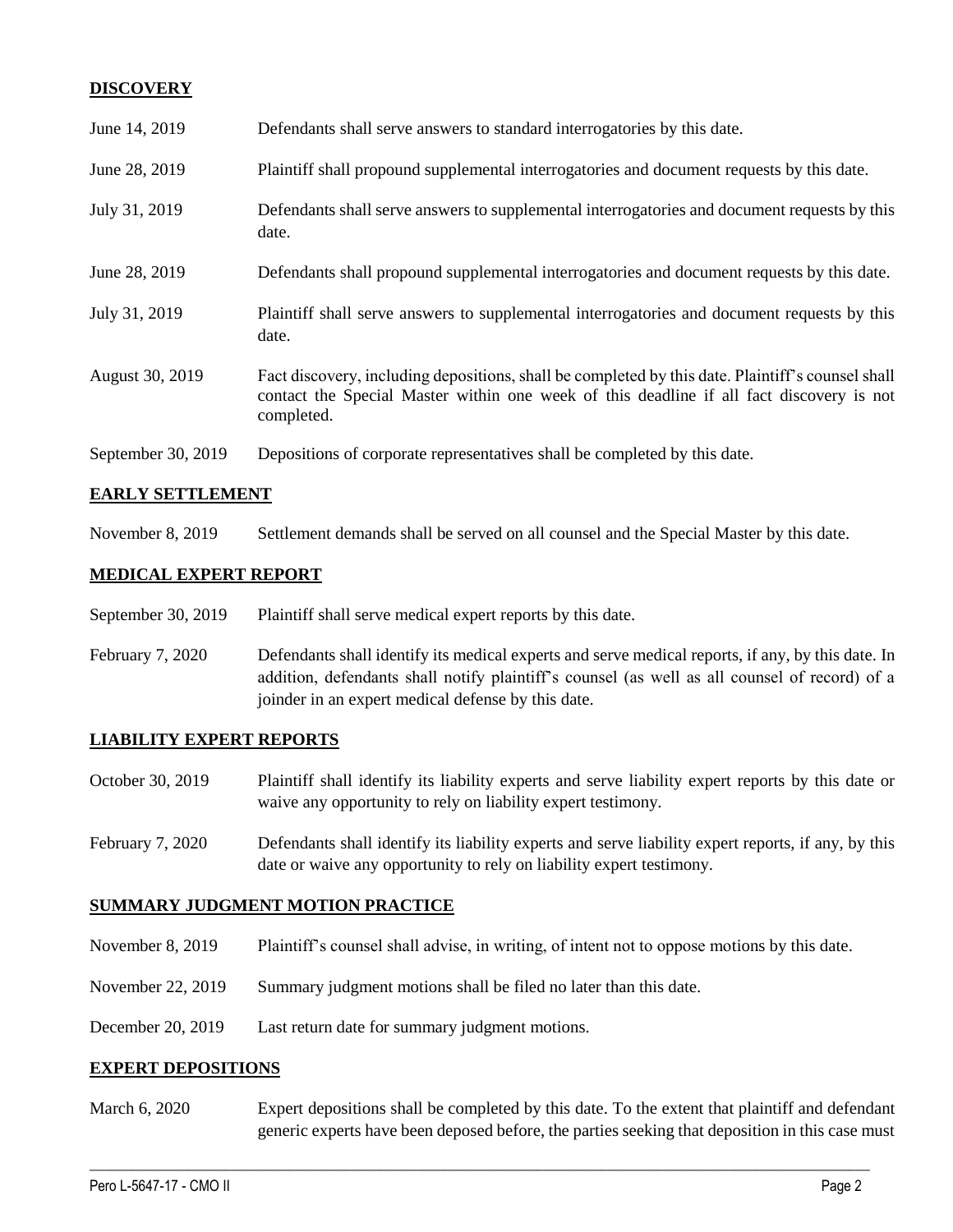## **DISCOVERY**

| June 14, 2019      | Defendants shall serve answers to standard interrogatories by this date.                                                                                                                                    |
|--------------------|-------------------------------------------------------------------------------------------------------------------------------------------------------------------------------------------------------------|
| June 28, 2019      | Plaintiff shall propound supplemental interrogatories and document requests by this date.                                                                                                                   |
| July 31, 2019      | Defendants shall serve answers to supplemental interrogatories and document requests by this<br>date.                                                                                                       |
| June 28, 2019      | Defendants shall propound supplemental interrogatories and document requests by this date.                                                                                                                  |
| July 31, 2019      | Plaintiff shall serve answers to supplemental interrogatories and document requests by this<br>date.                                                                                                        |
| August 30, 2019    | Fact discovery, including depositions, shall be completed by this date. Plaintiff's counsel shall<br>contact the Special Master within one week of this deadline if all fact discovery is not<br>completed. |
| September 30, 2019 | Depositions of corporate representatives shall be completed by this date.                                                                                                                                   |

### **EARLY SETTLEMENT**

November 8, 2019 Settlement demands shall be served on all counsel and the Special Master by this date.

### **MEDICAL EXPERT REPORT**

- September 30, 2019 Plaintiff shall serve medical expert reports by this date.
- February 7, 2020 Defendants shall identify its medical experts and serve medical reports, if any, by this date. In addition, defendants shall notify plaintiff's counsel (as well as all counsel of record) of a joinder in an expert medical defense by this date.

### **LIABILITY EXPERT REPORTS**

- October 30, 2019 Plaintiff shall identify its liability experts and serve liability expert reports by this date or waive any opportunity to rely on liability expert testimony.
- February 7, 2020 Defendants shall identify its liability experts and serve liability expert reports, if any, by this date or waive any opportunity to rely on liability expert testimony.

### **SUMMARY JUDGMENT MOTION PRACTICE**

- November 8, 2019 Plaintiff's counsel shall advise, in writing, of intent not to oppose motions by this date.
- November 22, 2019 Summary judgment motions shall be filed no later than this date.
- December 20, 2019 Last return date for summary judgment motions.

### **EXPERT DEPOSITIONS**

March 6, 2020 Expert depositions shall be completed by this date. To the extent that plaintiff and defendant generic experts have been deposed before, the parties seeking that deposition in this case must

 $\_$  , and the set of the set of the set of the set of the set of the set of the set of the set of the set of the set of the set of the set of the set of the set of the set of the set of the set of the set of the set of th